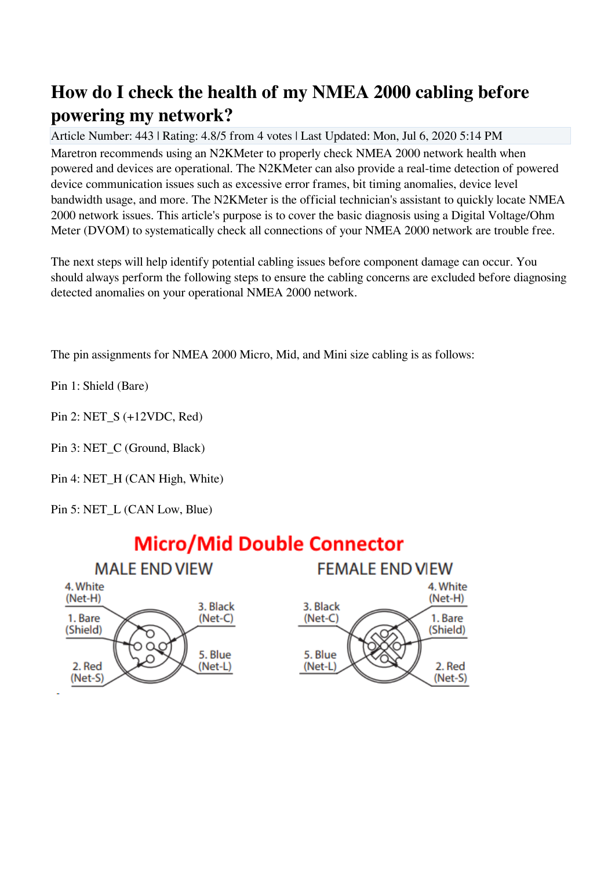## **How do I check the health of my NMEA 2000 cabling before powering my network?**

Article Number: 443 | Rating: 4.8/5 from 4 votes | Last Updated: Mon, Jul 6, 2020 5:14 PM Maretron recommends using an N2KMeter to properly check NMEA 2000 network health when powered and devices are operational. The N2KMeter can also provide a real-time detection of powered device communication issues such as excessive error frames, bit timing anomalies, device level bandwidth usage, and more. The N2KMeter is the official technician's assistant to quickly locate NMEA 2000 network issues. This article's purpose is to cover the basic diagnosis using a Digital Voltage/Ohm Meter (DVOM) to systematically check all connections of your NMEA 2000 network are trouble free.

The next steps will help identify potential cabling issues before component damage can occur. You should always perform the following steps to ensure the cabling concerns are excluded before diagnosing detected anomalies on your operational NMEA 2000 network.

The pin assignments for NMEA 2000 Micro, Mid, and Mini size cabling is as follows:

Pin 1: Shield (Bare)

Pin 2: NET\_S (+12VDC, Red)

Pin 3: NET C (Ground, Black)

Pin 4: NET\_H (CAN High, White)

Pin 5: NET L (CAN Low, Blue)

## **Micro/Mid Double Connector**

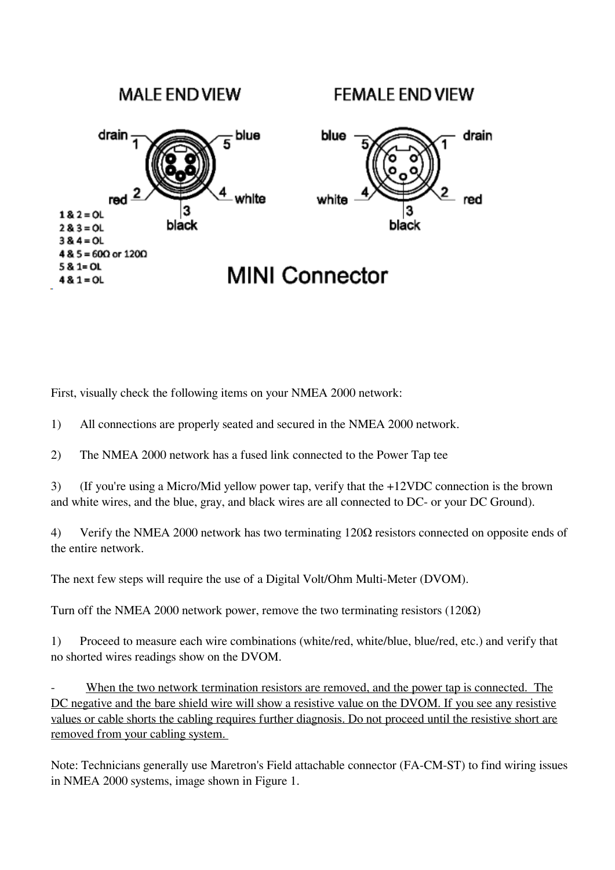## **MALE END VIEW FEMALE END VIEW**  $\frac{1}{5}$ blue drain blue drain red  $\overline{2}$ 4 white red white  $18.2 = 0$ L black black  $28.3 = 0$ L  $38.4 = 0$ L  $4 & 5 = 600$  or  $1200$  $581 = 01$ **MINI Connector**  $48.1 = 0$ L

First, visually check the following items on your NMEA 2000 network:

1) All connections are properly seated and secured in the NMEA 2000 network.

2) The NMEA 2000 network has a fused link connected to the Power Tap tee

3) (If you're using a Micro/Mid yellow power tap, verify that the +12VDC connection is the brown and white wires, and the blue, gray, and black wires are all connected to DC- or your DC Ground).

4) Verify the NMEA 2000 network has two terminating 120Ω resistors connected on opposite ends of the entire network.

The next few steps will require the use of a Digital Volt/Ohm Multi-Meter (DVOM).

Turn off the NMEA 2000 network power, remove the two terminating resistors (120Ω)

1) Proceed to measure each wire combinations (white/red, white/blue, blue/red, etc.) and verify that no shorted wires readings show on the DVOM.

When the two network termination resistors are removed, and the power tap is connected. The DC negative and the bare shield wire will show a resistive value on the DVOM. If you see any resistive values or cable shorts the cabling requires further diagnosis. Do not proceed until the resistive short are removed from your cabling system.

Note: Technicians generally use Maretron's Field attachable connector (FA-CM-ST) to find wiring issues in NMEA 2000 systems, image shown in Figure 1.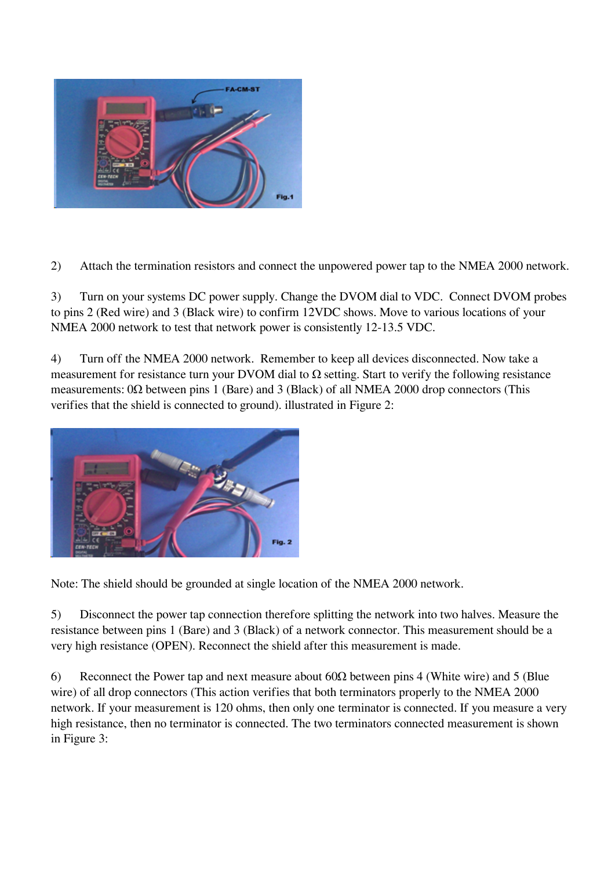

2) Attach the termination resistors and connect the unpowered power tap to the NMEA 2000 network.

3) Turn on your systems DC power supply. Change the DVOM dial to VDC. Connect DVOM probes to pins 2 (Red wire) and 3 (Black wire) to confirm 12VDC shows. Move to various locations of your NMEA 2000 network to test that network power is consistently 12-13.5 VDC.

4) Turn off the NMEA 2000 network. Remember to keep all devices disconnected. Now take a measurement for resistance turn your DVOM dial to  $\Omega$  setting. Start to verify the following resistance measurements:  $0\Omega$  between pins 1 (Bare) and 3 (Black) of all NMEA 2000 drop connectors (This verifies that the shield is connected to ground). illustrated in Figure 2:



Note: The shield should be grounded at single location of the NMEA 2000 network.

5) Disconnect the power tap connection therefore splitting the network into two halves. Measure the resistance between pins 1 (Bare) and 3 (Black) of a network connector. This measurement should be a very high resistance (OPEN). Reconnect the shield after this measurement is made.

6) Reconnect the Power tap and next measure about  $60\Omega$  between pins 4 (White wire) and 5 (Blue wire) of all drop connectors (This action verifies that both terminators properly to the NMEA 2000 network. If your measurement is 120 ohms, then only one terminator is connected. If you measure a very high resistance, then no terminator is connected. The two terminators connected measurement is shown in Figure 3: